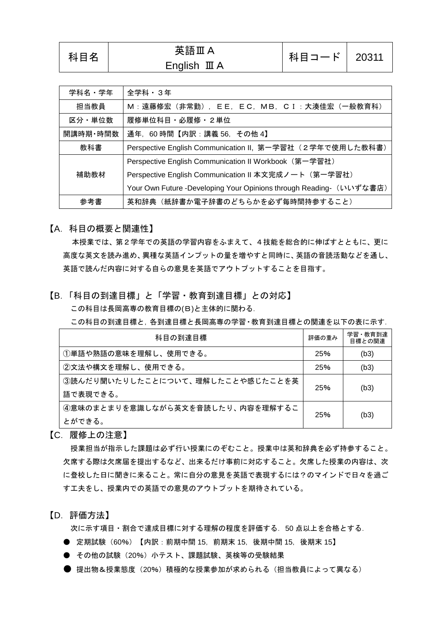| 学科名・学年   | 全学科・3年                                                              |  |  |
|----------|---------------------------------------------------------------------|--|--|
| 担当教員     | M:遠藤修宏 (非常勤), EE, EC, MB, CI:大湊佳宏 (一般教育科)                           |  |  |
| 区分・単位数   | 履修単位科目・必履修・2単位                                                      |  |  |
| 開講時期・時間数 | 通年, 60時間【内訳:講義 56, その他 4】                                           |  |  |
| 教科書      | Perspective English Communication II, 第一学習社 (2学年で使用した教科書)           |  |  |
|          | Perspective English Communication II Workbook (第一学習社)               |  |  |
| 補助教材     | Perspective English Communication II 本文完成ノート (第一学習社)                |  |  |
|          | Your Own Future -Developing Your Opinions through Reading- (いいずな書店) |  |  |
| 参考書      | 英和辞典(紙辞書か電子辞書のどちらかを必ず毎時間持参すること)                                     |  |  |

科目コード | 20311

【A.科目の概要と関連性】

本授業では、第2学年での英語の学習内容をふまえて、4技能を総合的に伸ばすとともに、更に 高度な英文を読み進め、異種な英語インプットの量を増やすと同時に、英語の音読活動などを通し、 英語で読んだ内容に対する自らの意見を英語でアウトプットすることを目指す。

【B.「科目の到達目標」と「学習・教育到達目標」との対応】

この科目は長岡高専の教育目標の(B)と主体的に関わる.

この科目の到達目標と,各到達目標と長岡高専の学習・教育到達目標との関連を以下の表に示す.

| 科目の到達目標                                 | 評価の重み | 学習・教育到達<br>目標との関連 |
|-----------------------------------------|-------|-------------------|
| ①単語や熟語の意味を理解し、使用できる。                    | 25%   | (b3)              |
| ②文法や構文を理解し、使用できる。                       | 25%   | (b3)              |
| ③読んだり聞いたりしたことについて、理解したことや感じたことを英<br>25% |       |                   |
| 語で表現できる。                                | (b3)  |                   |
| 4意味のまとまりを意識しながら英文を音読したり、内容を理解するこ        | 25%   |                   |
| とができる。                                  |       | (b3)              |

【C.履修上の注意】

授業担当が指示した課題は必ず行い授業にのぞむこと。授業中は英和辞典を必ず持参すること。 欠席する際は欠席届を提出するなど、出来るだけ事前に対応すること。欠席した授業の内容は、次 に登校した日に聞きに来ること。常に自分の意見を英語で表現するには?のマインドで日々を過ご す工夫をし、授業内での英語での意見のアウトプットを期待されている。

【D.評価方法】

次に示す項目・割合で達成目標に対する理解の程度を評価する.50 点以上を合格とする.

- 定期試験 (60%) 【内訳:前期中間 15, 前期末 15, 後期中間 15, 後期末 15】
- その他の試験(20%)小テスト、課題試験、英検等の受験結果
- 提出物&授業熊度(20%)積極的な授業参加が求められる(担当教員によって異なる)